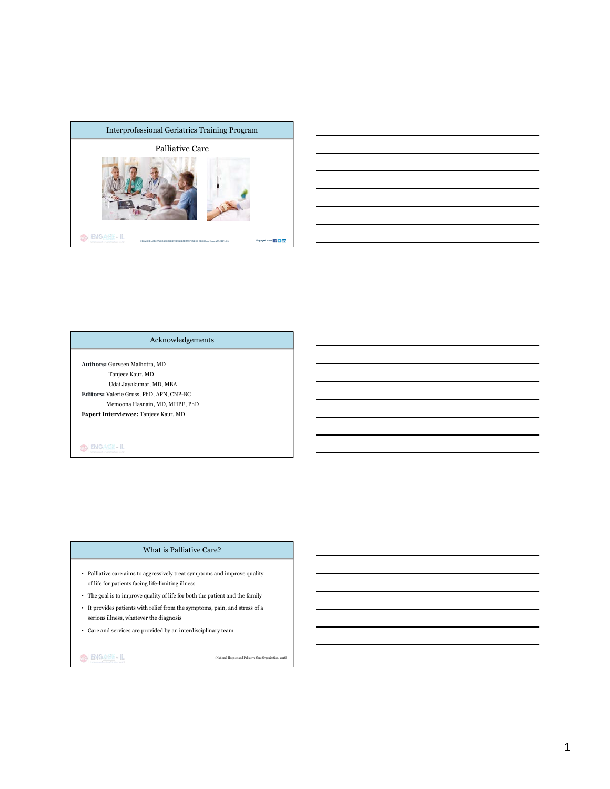



# Acknowledgements

**Authors:** Gurveen Malhotra, MD Tanjeev Kaur, MD Udai Jayakumar, MD, MBA **Editors:** Valerie Gruss, PhD, APN, CNP-BC Memoona Hasnain, MD, MHPE, PhD **Expert Interviewee:** Tanjeev Kaur, MD

# $\bigcirc$   $\bigg| \frac{\text{ENGAGE}-\text{IL}}{\text{ENGATE}} \bigg|$

## What is Palliative Care?

- Palliative care aims to aggressively treat symptoms and improve quality of life for patients facing life-limiting illness
- $\bullet~$  The goal is to improve quality of life for both the patient and the family
- It provides patients with relief from the symptoms, pain, and stress of a serious illness, whatever the diagnosis
- $\bullet~$  Care and services are provided by an interdisciplinary team

# O BNGAGE-IL

(National Hospice and Palliative Care Org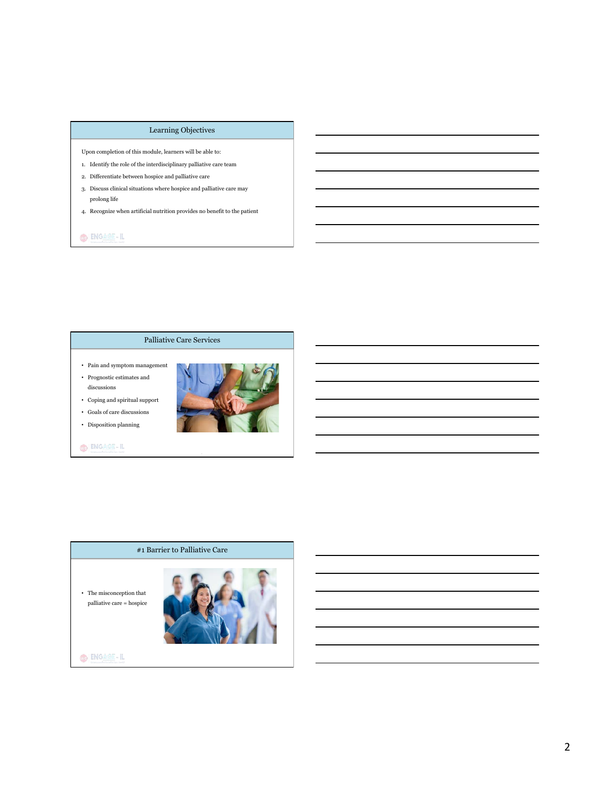## Learning Objectives

Upon completion of this module, learners will be able to:

- 1. Identify the role of the interdisciplinary palliative care team
- 2. Differentiate between hospice and palliative care
- 3. Discuss clinical situations where hospice and palliative care may prolong life
- 4. Recognize when artificial nutrition provides no benefit to the patient

# O ENGAGE-IL

# Palliative Care Services

- Pain and symptom management
- Prognostic estimates and discussions
- Coping and spiritual support



• Disposition planning



 $\bigcirc$   $\bigg| \frac{\text{ENGAGE}-\text{IL}}{\text{ENGATE}} \bigg|$ 

# #1 Barrier to Palliative Care

- The misconception that  $% \mathcal{N}$ palliative care = hospice



 $\bigcirc$   $\bigg| \frac{\text{ENGATE - IL}}{\text{ENGATE - IL}}$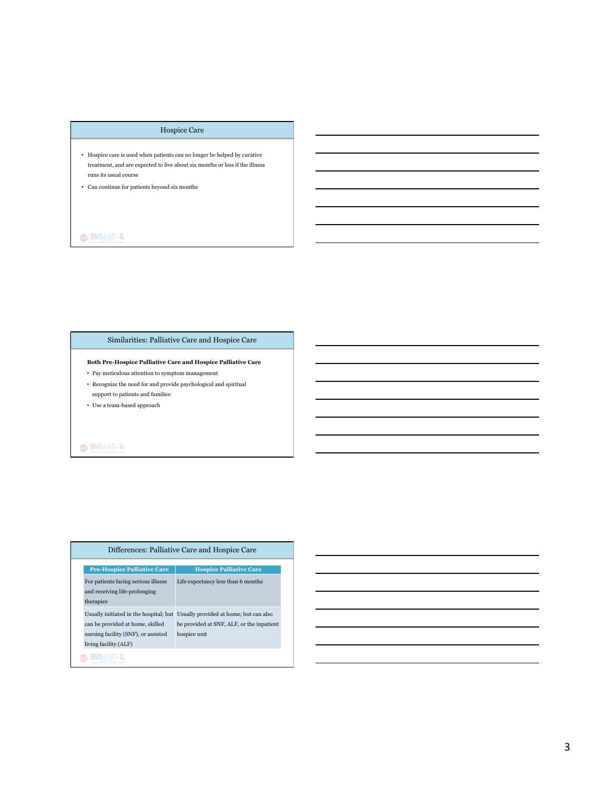# Hospice Care

- Hospice care is used when patients can no longer be helped by curative treatment, and are expected to live about six months or less if the illness runs its usual course
- Can continue for patients beyond six months

# O ENGAGE-IL

# Similarities: Palliative Care and Hospice Care

**Both Pre-Hospice Palliative Care and Hospice Palliative Care** 

- Pay meticulous attention to symptom management
- $\bullet~$  Recognize the need for and provide psychological and spiritual
- support to patients and families
- Use a team-based approach

# $\bigcirc$   $\bigg|$  engage-il

| Differences: Palliative Care and Hospice Care                                                    |                                                                                                                                            |  |
|--------------------------------------------------------------------------------------------------|--------------------------------------------------------------------------------------------------------------------------------------------|--|
| <b>Pre-Hospice Palliative Care</b>                                                               | <b>Hospice Palliative Care</b>                                                                                                             |  |
| For patients facing serious illness<br>and receiving life-prolonging<br>therapies                | Life expectancy less than 6 months                                                                                                         |  |
| can be provided at home, skilled<br>nursing facility (SNF), or assisted<br>living facility (ALF) | Usually initiated in the hospital; but Usually provided at home; but can also<br>be provided at SNF, ALF, or the inpatient<br>hospice unit |  |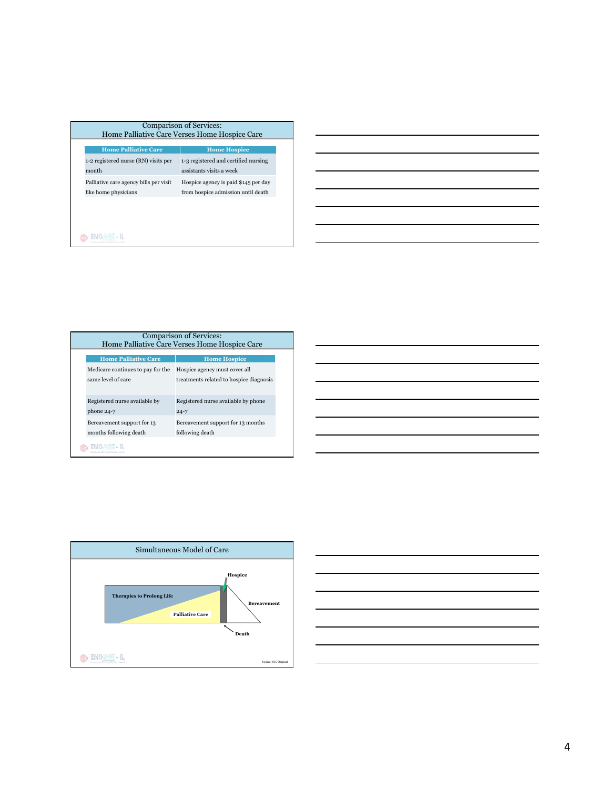| <b>Comparison of Services:</b><br>Home Palliative Care Verses Home Hospice Care |                                                                |                                                                            |  |
|---------------------------------------------------------------------------------|----------------------------------------------------------------|----------------------------------------------------------------------------|--|
|                                                                                 | <b>Home Palliative Care</b>                                    | <b>Home Hospice</b>                                                        |  |
|                                                                                 | 1-2 registered nurse (RN) visits per<br>month                  | 1-3 registered and certified nursing<br>assistants visits a week           |  |
|                                                                                 | Palliative care agency bills per visit<br>like home physicians | Hospice agency is paid \$145 per day<br>from hospice admission until death |  |
|                                                                                 |                                                                |                                                                            |  |
|                                                                                 |                                                                |                                                                            |  |
|                                                                                 |                                                                |                                                                            |  |

| Home Palliative Care Verses Home Hospice Care |                                                 |  |
|-----------------------------------------------|-------------------------------------------------|--|
| <b>Home Palliative Care</b>                   | <b>Home Hospice</b>                             |  |
| Medicare continues to pay for the             | Hospice agency must cover all                   |  |
| same level of care                            | treatments related to hospice diagnosis         |  |
| Registered nurse available by<br>$phone 24-7$ | Registered nurse available by phone<br>$24 - 7$ |  |
| Bereavement support for 13                    | Bereavement support for 13 months               |  |
| months following death                        | following death                                 |  |





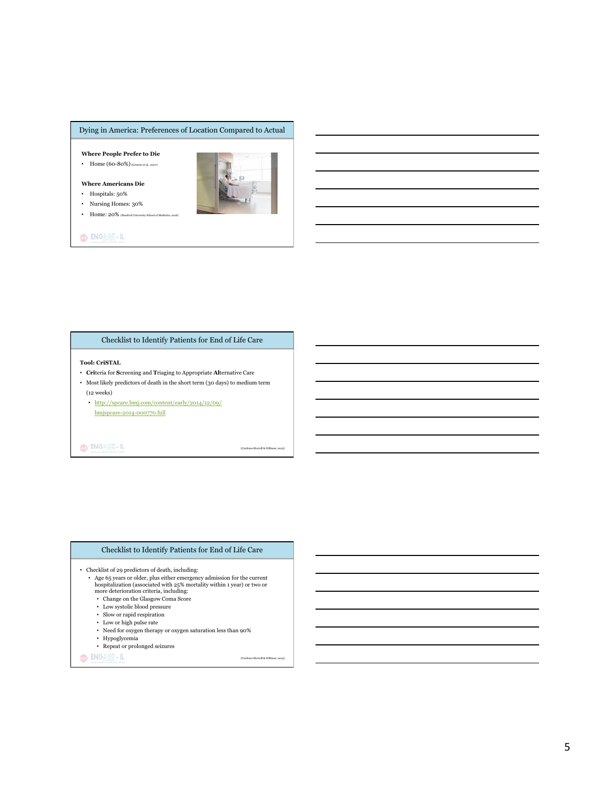## Dying in America: Preferences of Location Compared to Actual

**Where People Prefer to Die** 

• Home (60-80%) (Gruneir et al., 2007)

**Where Americans Die**

- Hospitals: 50% • Nursing Homes: 30%
- Home: 20% (Stanford University School of Medicine, 2016)



# Checklist to Identify Patients for End of Life Care

#### **Tool: CriSTAL**

- **Cri**teria for **S**creening and **T**riaging to Appropriate **Al**ternative Care
- Most likely predictors of death in the short term (30 days) to medium term (12 weeks)
	- http://spcare.bmj.com/content/early/2014/12/09/ bmjspcare-2014-000770.full

O ENGAGE-IL

(Cardona-Morrell & Hillman

#### Checklist to Identify Patients for End of Life Care

- Checklist of 29 predictors of death, including:

- Age 65 years or older, plus either emergency admission for the current hospitalization (associated with 25% mortality within 1 year) or two or more deterioration criteria, including:
- Change on the Glasgow Coma Score
- Low systolic blood pressure
- Slow or rapid respiration
- $\bullet~$  Low or high pulse rate
- Need for oxygen therapy or oxygen saturation less than  $90\%$
- Hypoglycemia
- Repeat or prolonged seizures

O ENGAGE-IL

(Cardona-Morrell & Hillman, 2015)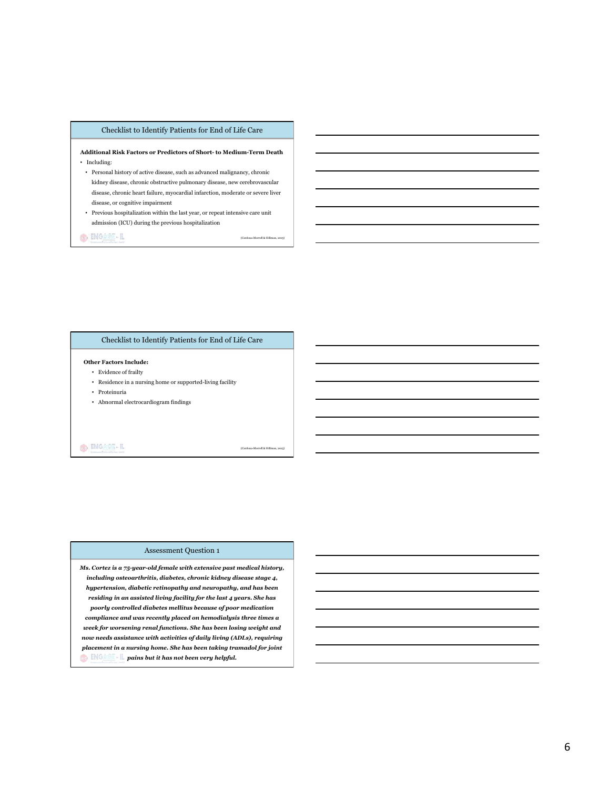#### Checklist to Identify Patients for End of Life Care

#### **Additional Risk Factors or Predictors of Short- to Medium-Term Death** • Including:

 $\bullet~$  Personal history of active disease, such as advanced malignancy, chronic kidney disease, chronic obstructive pulmonary disease, new cerebrovascular disease, chronic heart failure, myocardial infarction, moderate or severe liver disease, or cognitive impairment

• Previous hospitalization within the last year, or repeat intensive care unit admission (ICU) during the previous hospitalization

OD INGAGE-IL

(Cardona-Morrell & Hillman, 2015)

## Checklist to Identify Patients for End of Life Care

#### **Other Factors Include:**

- Evidence of frailty
- Residence in a nursing home or supported-living facility
- Proteinuria
- Abnormal electrocardiogram findings

#### O ENGAGE-IL

(Cardona-Morrell & Hillman, 2015)

#### Assessment Question 1

*Ms. Cortez is a 75-year-old female with extensive past medical history, including osteoarthritis, diabetes, chronic kidney disease stage 4, hypertension, diabetic retinopathy and neuropathy, and has been residing in an assisted living facility for the last 4 years. She has poorly controlled diabetes mellitus because of poor medication compliance and was recently placed on hemodialysis three times a week for worsening renal functions. She has been losing weight and now needs assistance with activities of daily living (ADLs), requiring placement in a nursing home. She has been taking tramadol for joint pains but it has not been very helpful.*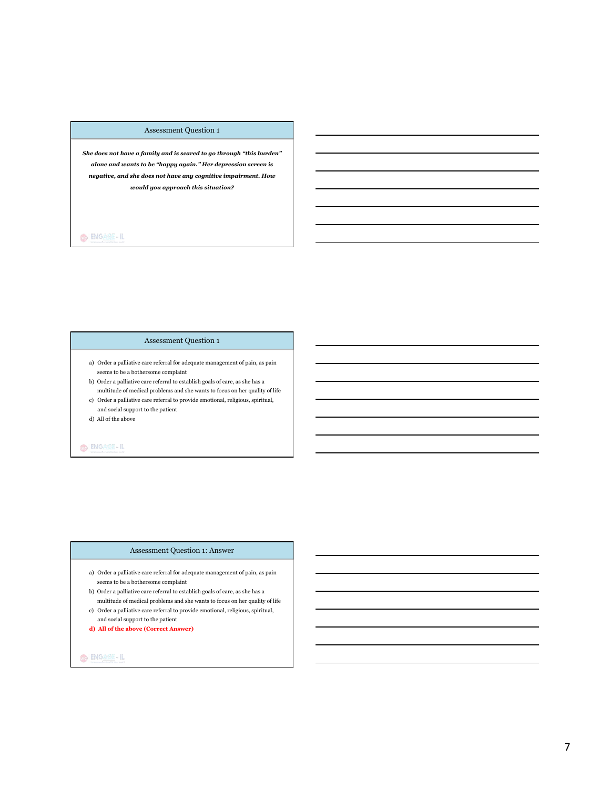## Assessment Question 1

*She does not have a family and is scared to go through "this burden" alone and wants to be "happy again." Her depression screen is negative, and she does not have any cognitive impairment. How would you approach this situation?* 

# O ENGAGE-IL

## Assessment Question 1

- a) Order a palliative care referral for adequate management of pain, as pain seems to be a bothersome complaint
- b) Order a palliative care referral to establish goals of care, as she has a multitude of medical problems and she wants to focus on her quality of life
- c) Order a palliative care referral to provide emotional, religious, spiritual, and social support to the patient
- d) All of the above

# O ENGAGE-IL

#### Assessment Question 1: Answer

- a) Order a palliative care referral for adequate management of pain, as pain seems to be a bothersome complaint
- b) Order a palliative care referral to establish goals of care, as she has a multitude of medical problems and she wants to focus on her quality of life
- c) Order a palliative care referral to provide emotional, religious, spiritual, and social support to the patient
- **d) All of the above (Correct Answer)**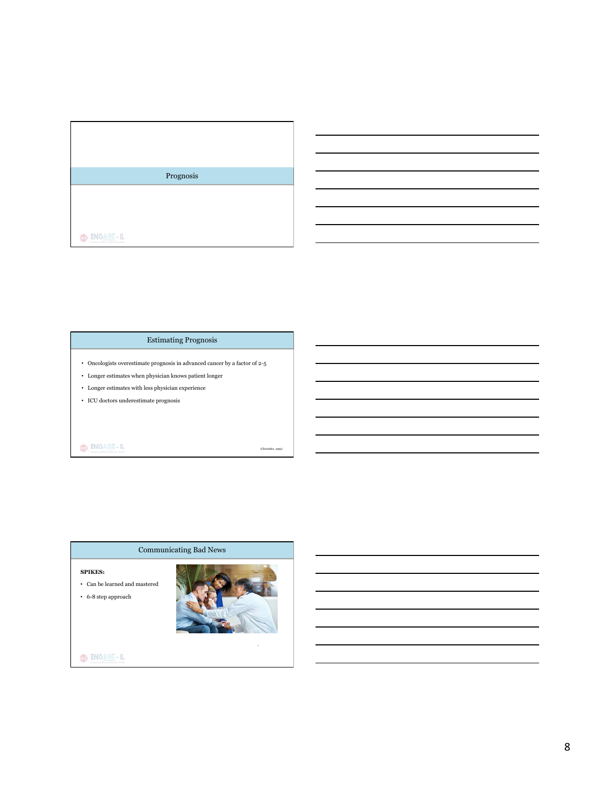

 $\bigoplus \big[\frac{\mathsf{ENGAlg}}{\mathsf{Hom}}\cdot \mathsf{IL} \big]$ 

# Estimating Prognosis

- Oncologists overestimate prognosis in advanced cancer by a factor of 2-5
- Longer estimates when physician knows patient longer
- Longer estimates with less physician experience
- ICU doctors underestimate prognosis

# $\bigoplus \Big|\underset{\text{transmission conditions}}{\text{ENGAlg}} - \text{IL}\Big|$

(Christakis, 1999)

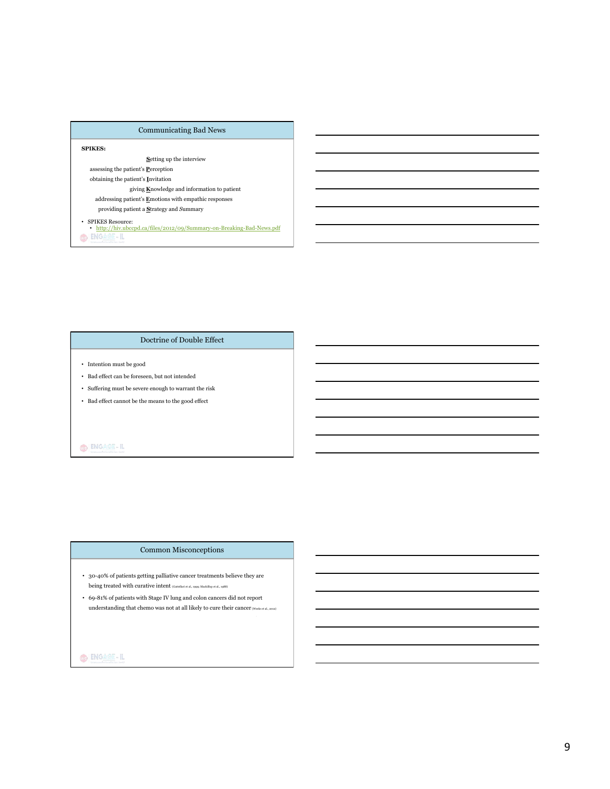| <b>Communicating Bad News</b>                                                                                 |  |  |
|---------------------------------------------------------------------------------------------------------------|--|--|
| <b>SPIKES:</b>                                                                                                |  |  |
| <b>Setting up the interview</b>                                                                               |  |  |
| assessing the patient's <b>Perception</b>                                                                     |  |  |
| obtaining the patient's Invitation                                                                            |  |  |
| giving Knowledge and information to patient                                                                   |  |  |
| addressing patient's Emotions with empathic responses                                                         |  |  |
| providing patient a Strategy and Summary                                                                      |  |  |
| <b>SPIKES Resource:</b><br>http://hiv.ubccpd.ca/files/2012/09/Summary-on-Breaking-Bad-News.pdf<br>ENGAGE - IL |  |  |

## Doctrine of Double Effect

- Intention must be good
- Bad effect can be foreseen, but not intended
- Suffering must be severe enough to warrant the risk
- Bad effect cannot be the means to the good effect

# $\bigcirc$   $\bigg|$  engage-il

## Common Misconceptions

- 30-40% of patients getting palliative cancer treatments believe they are being treated with curative intent  $\rm_{(Gattellari\,et\,al.,\,1999;~Mackillop\,et\,al.,\,1988)}$
- $\bullet~$  69-81% of patients with Stage IV lung and colon cancers did not report understanding that chemo was not at all likely to cure their cancer (Weeks et al., 2012)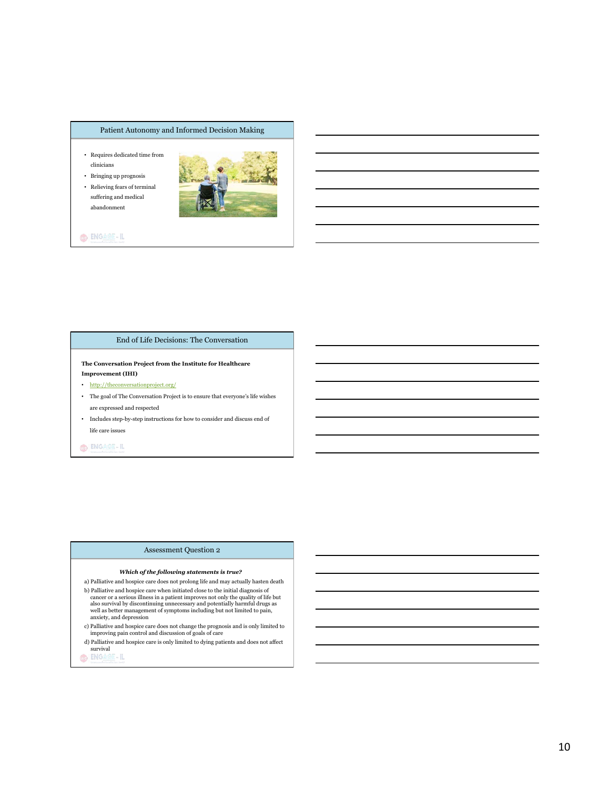#### Patient Autonomy and Informed Decision Making

- Requires dedicated time from clinicians
- Bringing up prognosis • Relieving fears of terminal suffering and medical abandonment



 $\bigcirc$   $|$  ENGAGE-IL

#### End of Life Decisions: The Conversation

**The Conversation Project from the Institute for Healthcare Improvement (IHI)** 

- http://theconversationproject.org/
- The goal of The Conversation Project is to ensure that everyone's life wishes are expressed and respected
- $\bullet$   $\;$  Includes step-by-step instructions for how to consider and discuss end of life care issues

O ENGAGE-IL

## Assessment Question 2

#### *Which of the following statements is true?*

- a) Palliative and hospice care does not prolong life and may actually hasten death b) Palliative and hospice care when initiated close to the initial diagnosis of cancer or a serious illness in a patient improves not only the quality of life but also survival by discontinuing unnecessary and potentially harmful drugs as well as better management of symptoms including but not limited to pain, anxiety, and depression
- c) Palliative and hospice care does not change the prognosis and is only limited to improving pain control and discussion of goals of care
- d) Palliative and hospice care is only limited to dying patients and does not affect survival<br>Co ENG 2 - IL
-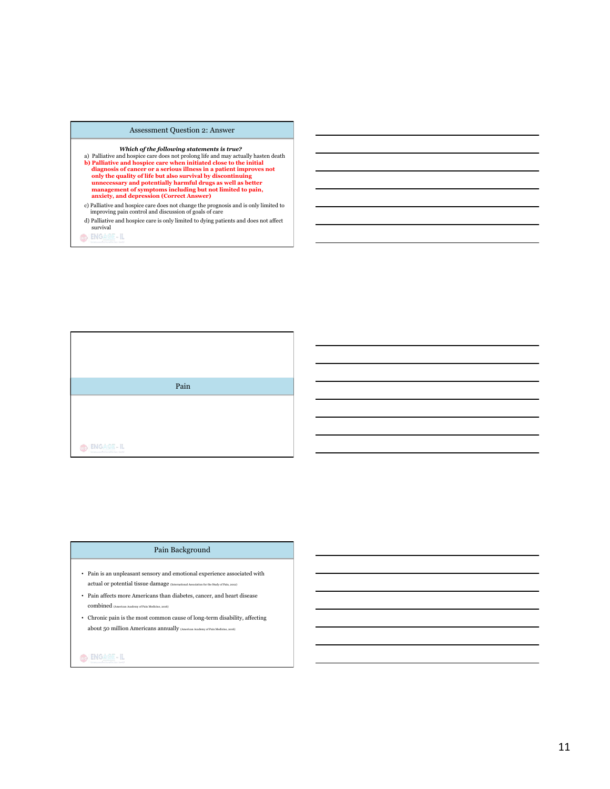#### Assessment Question 2: Answer

- Which of the following statements is true?<br>
a) Palliative and hospice care does not prolong life and may actually hasten death<br>
b) Palliative and hospice care when initiated close to the initial<br>
diagnosis of cancer or a s **anxiety, and depression (Correct Answer)**
- c) Palliative and hospice care does not change the prognosis and is only limited to improving pain control and discussion of goals of care
- d) Palliative and hospice care is only limited to dying patients and does not affect survival

CO ENGAGE-IL



#### Pain Background

- Pain is an unpleasant sensory and emotional experience associated with actual or potential tissue damage (International Association for the Study of Pain, 2012)
- Pain affects more Americans than diabetes, cancer, and heart disease combined (American Academy of Pain Medicine, 2016)
- Chronic pain is the most common cause of long-term disability, affecting about 50 million Americans annually (American Academy of Pain Medicine, 2016)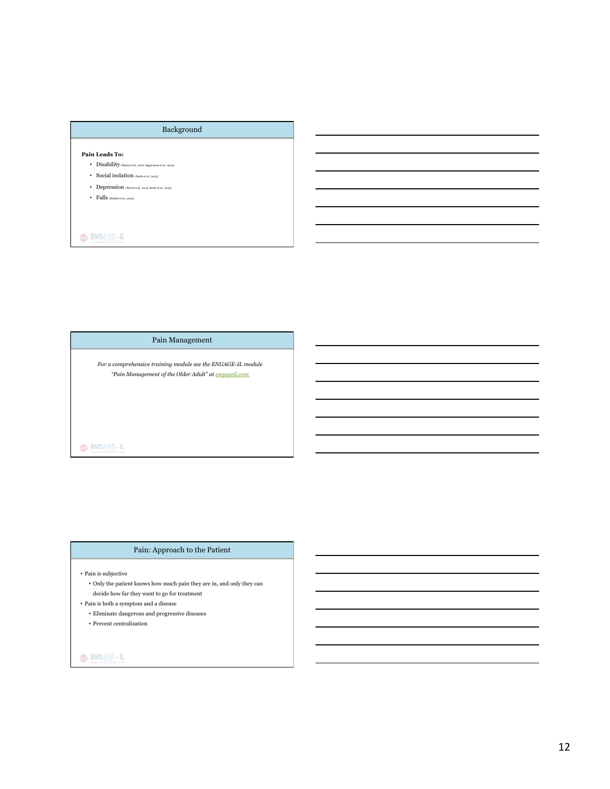## Background

#### **Pain Leads To:**

- Disability (Matos et al., 2016; Eggermont et al., 2014)
- Social isolation  $_{\rm (Keefe\,et\,al,\,2013)}$
- Depression (Wood et al., 2013; Keefe et al., 2013)
- Falls (Stubbs et al., 2014)

O ENGAGE-IL

## Pain Management

*For a comprehensive training module see the ENGAGE-IL module "Pain Management of the Older Adult" at engageil.com*

# $\bigcirc$   $\bigg|$  engage-il

## Pain: Approach to the Patient

 $\bullet\,$  Pain is subjective

- Only the patient knows how much pain they are in, and only they can decide how far they want to go for treatment
- $\bullet\,$  Pain is both a symptom and a disease
	- Eliminate dangerous and progressive diseases

• Prevent centralization

# $\bigcirc$   $\bigg| \frac{\text{ENGATE - IL}}{\text{ENGATE - IL}}$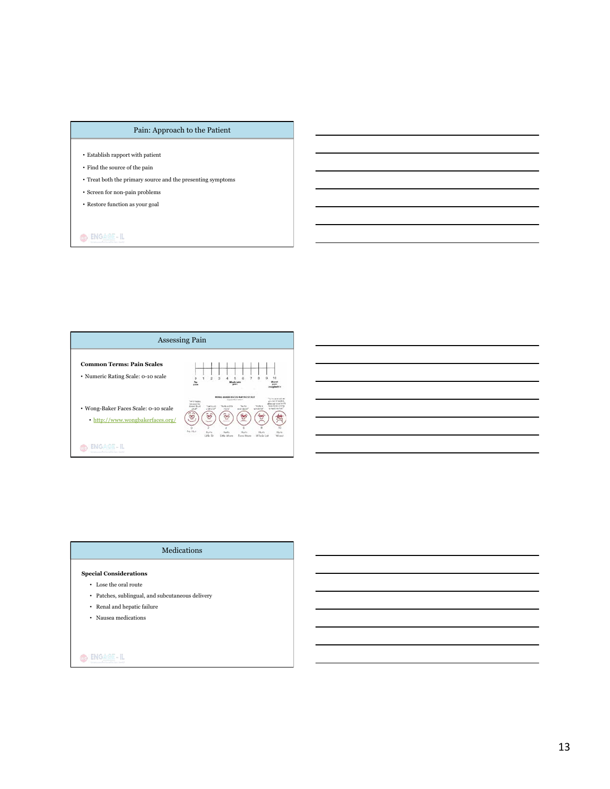# Pain: Approach to the Patient

- Establish rapport with patient
- $\bullet\,$  Find the source of the pain
- Treat both the primary source and the presenting symptoms
- Screen for non-pain problems
- Restore function as your goal

O ENGAGE-IL



#### Medications

#### **Special Considerations**

- Lose the oral route
- Patches, sublingual, and subcutaneous delivery
- Renal and hepatic failure
- Nausea medications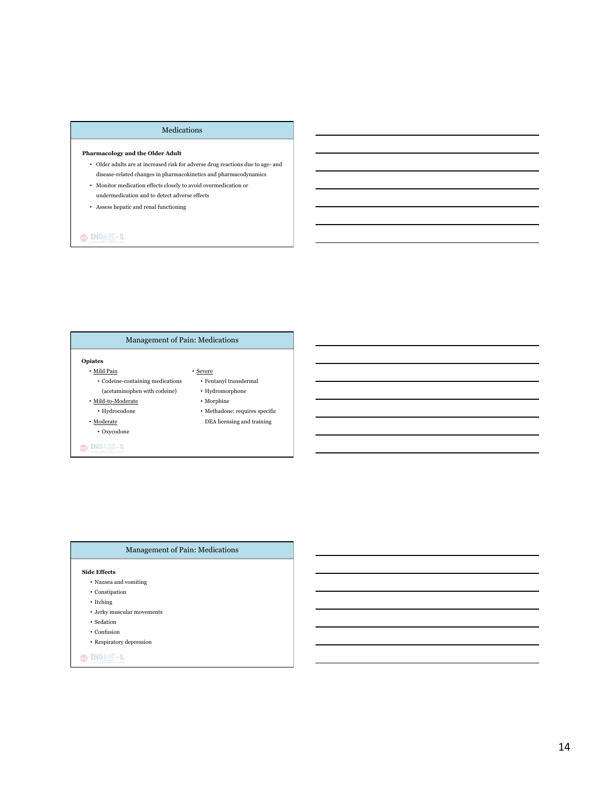#### Medications

#### **Pharmacology and the Older Adult**

- $\bullet~$  Older adults are at increased risk for adverse drug reactions due to age- and disease-related changes in pharmacokinetics and pharmacodynamics
- Monitor medication effects closely to avoid overmedication or
- undermedication and to detect adverse effects
- Assess hepatic and renal functioning

# O ENGAGE-IL

# Management of Pain: Medications

#### **Opiates**

• Mild Pain • Codeine-containing medications (acetaminophen with codeine)

• Mild-to-Moderate • Hydrocodone • Moderate • Oxycodone

O ENGAGE-IL

 $\bullet$  Hydromorphone

• Severe

#### • Morphine

- Methadone: requires specific
	- DEA licensing and training

• Fentanyl transdermal

## Management of Pain: Medications

#### **Side Effects**

- Nausea and vomiting
- Constipation
- $\bullet$  Itching
- Jerky muscular movements
- Sedation
- Confusion
- Respiratory depression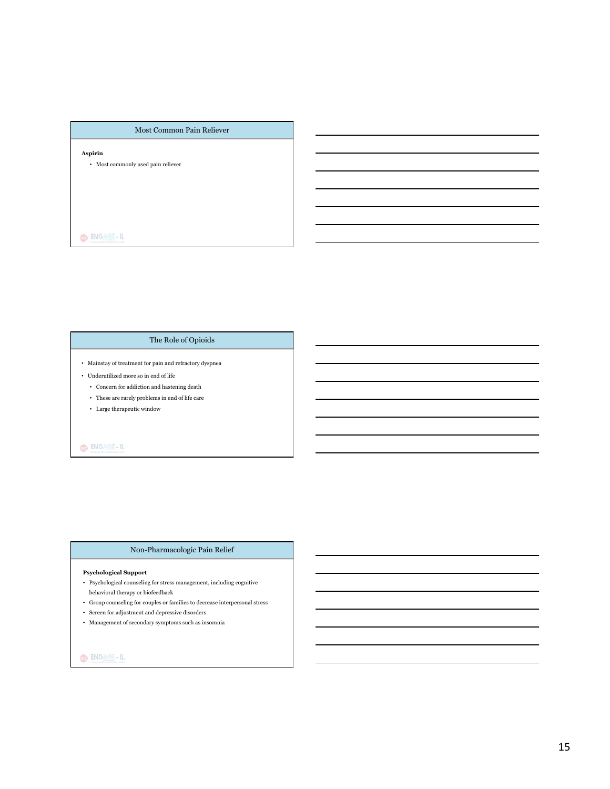#### Most Common Pain Reliever

# **Aspirin**

• Most commonly used pain reliever

O ENGAGE-IL

# The Role of Opioids

- Mainstay of treatment for pain and refractory dyspnea
- Underutilized more so in end of life
	- Concern for addiction and hastening death
	- These are rarely problems in end of life care
	- Large therapeutic window

# O BNGAGE-IL

## Non-Pharmacologic Pain Relief

#### **Psychological Support**

- $\bullet~$  Psychological counseling for stress management, including cognitive behavioral therapy or biofeedback
- Group counseling for couples or families to decrease interpersonal stress
- Screen for adjustment and depressive disorders
- Management of secondary symptoms such as insomnia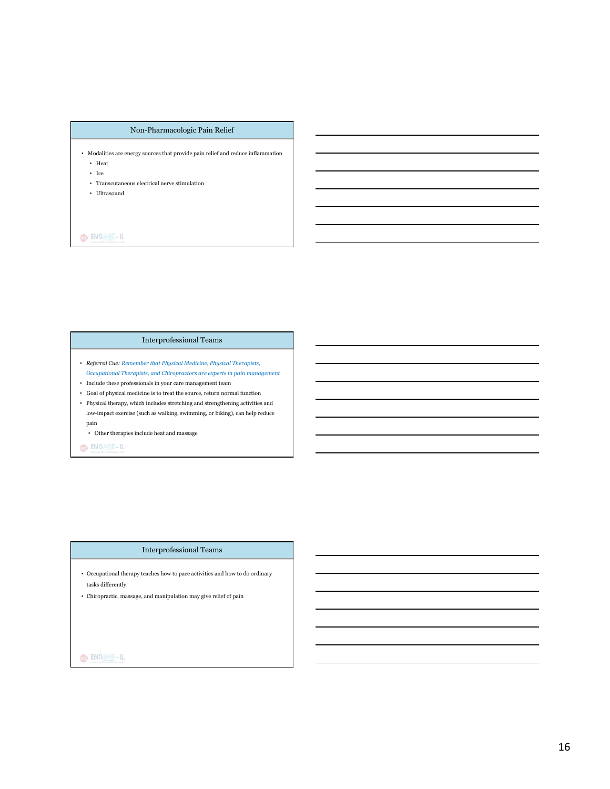## Non-Pharmacologic Pain Relief

- Modalities are energy sources that provide pain relief and reduce inflammation • Heat
	- Ice
	- $\bullet~$  Transcutaneous electrical nerve stimulation
	- Ultrasound

# O ENGAGE-IL

## Interprofessional Teams

- *Referral Cue: Remember that Physical Medicine, Physical Therapists, Occupational Therapists, and Chiropractors are experts in pain management*
- Include these professionals in your care management team
- Goal of physical medicine is to treat the source, return normal function
- Physical therapy, which includes stretching and strengthening activities and low-impact exercise (such as walking, swimming, or biking), can help reduce pain
	- Other therapies include heat and massage

OD ENGAGE-IL

#### Interprofessional Teams

- Occupational therapy teaches how to pace activities and how to do ordinary tasks differently
- $\bullet~$  Chiropractic, massage, and manipulation may give relief of pain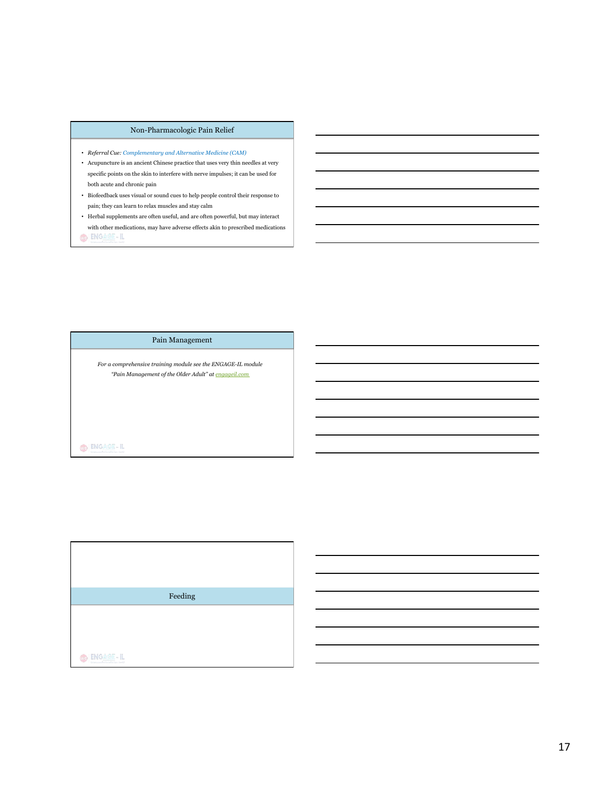## Non-Pharmacologic Pain Relief

- *Referral Cue: Complementary and Alternative Medicine (CAM)*
- Acupuncture is an ancient Chinese practice that uses very thin needles at very specific points on the skin to interfere with nerve impulses; it can be used for both acute and chronic pain
- Biofeedback uses visual or sound cues to help people control their response to pain; they can learn to relax muscles and stay calm
- $\bullet~$  Herbal supplements are often useful, and are often powerful, but may interact with other medications, may have adverse effects akin to prescribed medications O ENGAGE-IL

## Pain Management

*For a comprehensive training module see the ENGAGE-IL module "Pain Management of the Older Adult" at engageil.com*

 $\bigcirc$   $\bigg|$  engage-il

Feeding O ENGAGE-IL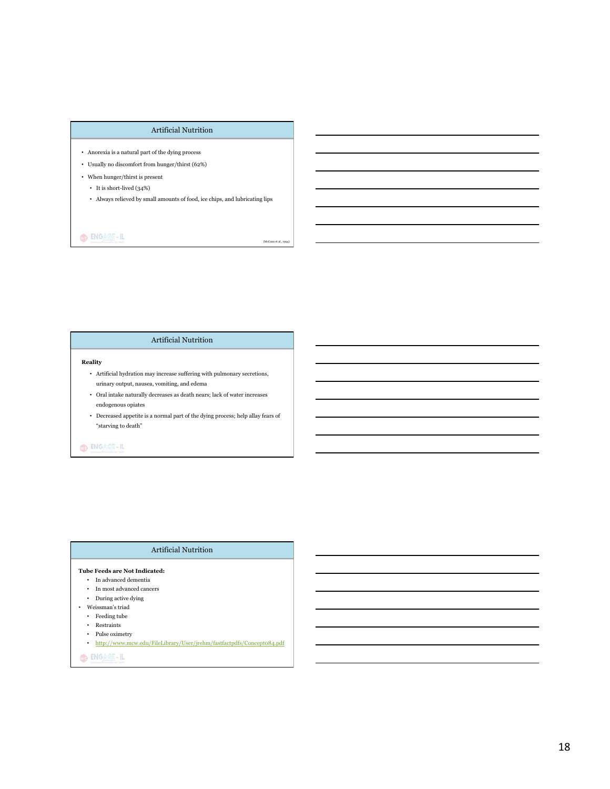#### Artificial Nutrition

- Anorexia is a natural part of the dying process
- Usually no discomfort from hunger/thirst (62%)
- When hunger/thirst is present
	- It is short-lived (34%)
	- Always relieved by small amounts of food, ice chips, and lubricating lips

 $(Mc)$ 

O ENGAGE-IL

#### Artificial Nutrition

#### **Reality**

- Artificial hydration may increase suffering with pulmonary secretions, urinary output, nausea, vomiting, and edema
- Oral intake naturally decreases as death nears; lack of water increases endogenous opiates
- Decreased appetite is a normal part of the dying process; help allay fears of "starving to death"

# $\bigcirc$   $\big|\frac{\text{ENGAGE}-\text{IL}}{\text{ENGATE}}\big|$

# Artificial Nutrition

#### **Tube Feeds are Not Indicated:**

- In advanced dementia
- In most advanced cancers
- During active dying
- Weissman's triad
	- Feeding tube
	- Restraints
	- Pulse oximetry
	- http://www.mcw.edu/FileLibrary/User/jrehm/fastfactpdfs/Concept084.pdf
- O ENGAGE-IL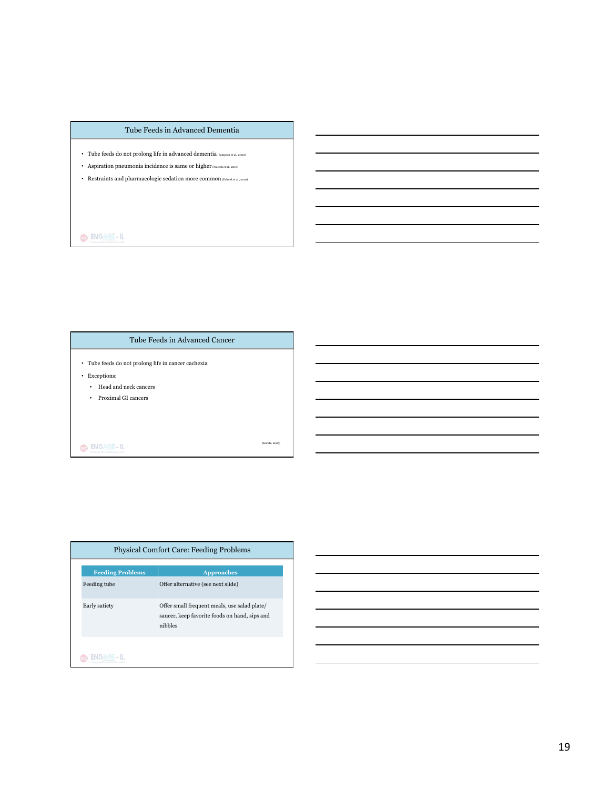#### Tube Feeds in Advanced Dementia

- Tube feeds do not prolong life in advanced dementia (Sampson et al., 2009)
- Aspiration pneumonia incidence is same or higher (Palecek et al., 2010)
- Restraints and pharmacologic sedation more common  $_{\rm (Paleck~et~al.,\,2010)}$

# O ENGAGE-IL

## Tube Feeds in Advanced Cancer

- Tube feeds do not prolong life in cancer cachexia
- Exceptions:
	- Head and neck cancers
	- Proximal GI cancers

O BNGAGE-IL

(Koretz, 2007)

| <b>Physical Comfort Care: Feeding Problems</b> |                                                                                                          |  |
|------------------------------------------------|----------------------------------------------------------------------------------------------------------|--|
| <b>Feeding Problems</b>                        | <b>Approaches</b>                                                                                        |  |
| Feeding tube                                   | Offer alternative (see next slide)                                                                       |  |
| Early satiety                                  | Offer small frequent meals, use salad plate/<br>saucer, keep favorite foods on hand, sips and<br>nibbles |  |
|                                                |                                                                                                          |  |

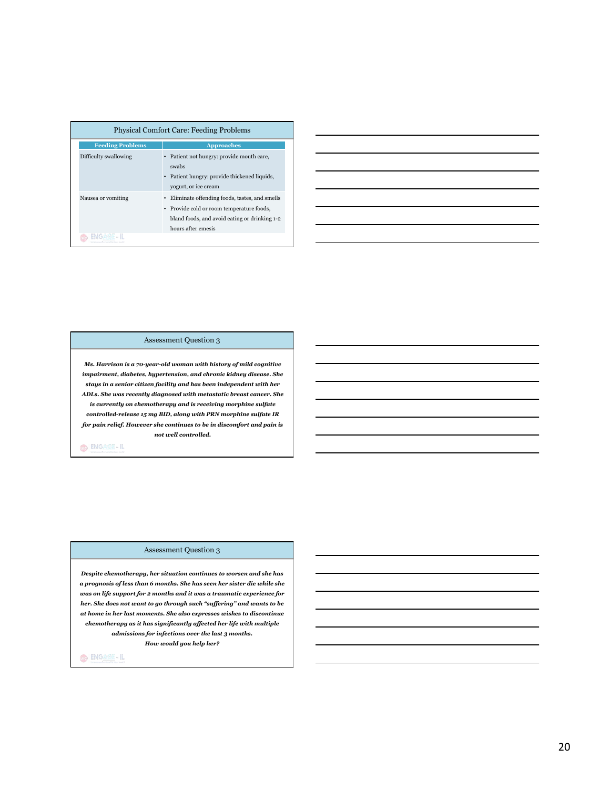| <b>Physical Comfort Care: Feeding Problems</b> |                                                                                                                                                                   |  |
|------------------------------------------------|-------------------------------------------------------------------------------------------------------------------------------------------------------------------|--|
| <b>Feeding Problems</b>                        | <b>Approaches</b>                                                                                                                                                 |  |
| Difficulty swallowing                          | • Patient not hungry: provide mouth care,<br>swabs<br>Patient hungry: provide thickened liquids,<br>yogurt, or ice cream                                          |  |
| Nausea or vomiting                             | Eliminate offending foods, tastes, and smells<br>• Provide cold or room temperature foods,<br>bland foods, and avoid eating or drinking 1-2<br>hours after emesis |  |
| 目前の少女                                          |                                                                                                                                                                   |  |

| <u> 1989 - Johann Stoff, amerikansk politiker (d. 1989)</u> |  |  |
|-------------------------------------------------------------|--|--|
|                                                             |  |  |
|                                                             |  |  |
|                                                             |  |  |
|                                                             |  |  |
|                                                             |  |  |
|                                                             |  |  |

## Assessment Question 3

*Ms. Harrison is a 70-year-old woman with history of mild cognitive impairment, diabetes, hypertension, and chronic kidney disease. She stays in a senior citizen facility and has been independent with her ADLs. She was recently diagnosed with metastatic breast cancer. She is currently on chemotherapy and is receiving morphine sulfate controlled-release 15 mg BID, along with PRN morphine sulfate IR for pain relief. However she continues to be in discomfort and pain is not well controlled.* 

O ENGAGE-IL

#### Assessment Question 3

*Despite chemotherapy, her situation continues to worsen and she has a prognosis of less than 6 months. She has seen her sister die while she was on life support for 2 months and it was a traumatic experience for her. She does not want to go through such "suffering" and wants to be at home in her last moments. She also expresses wishes to discontinue chemotherapy as it has significantly affected her life with multiple admissions for infections over the last 3 months. How would you help her?*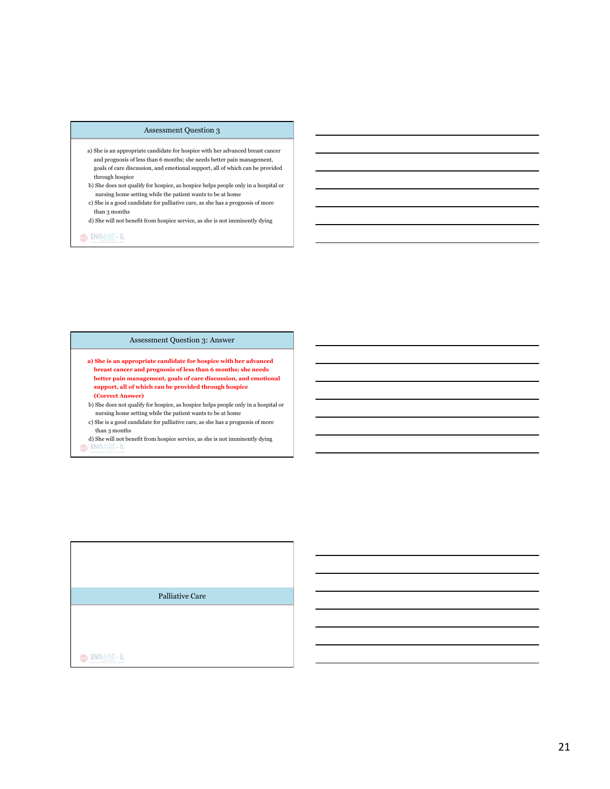#### Assessment Question 3

- a) She is an appropriate candidate for hospice with her advanced breast cancer and prognosis of less than 6 months; she needs better pain management, goals of care discussion, and emotional support, all of which can be provided through hospice
- b) She does not qualify for hospice, as hospice helps people only in a hospital or nursing home setting while the patient wants to be at home
- c) She is a good candidate for palliative care, as she has a prognosis of more than 3 months

d) She will not benefit from hospice service, as she is not imminently dying

OD ENGAGE-IL

## Assessment Question 3: Answer

**a) She is an appropriate candidate for hospice with her advanced breast cancer and prognosis of less than 6 months; she needs better pain management, goals of care discussion, and emotional support, all of which can be provided through hospice (Correct Answer)** 

b) She does not qualify for hospice, as hospice helps people only in a hospital or nursing home setting while the patient wants to be at home

c) She is a good candidate for palliative care, as she has a prognosis of more than 3 months

d) She will not benefit from hospice service, as she is not imminently dying to  $\blacksquare$ 

Palliative Care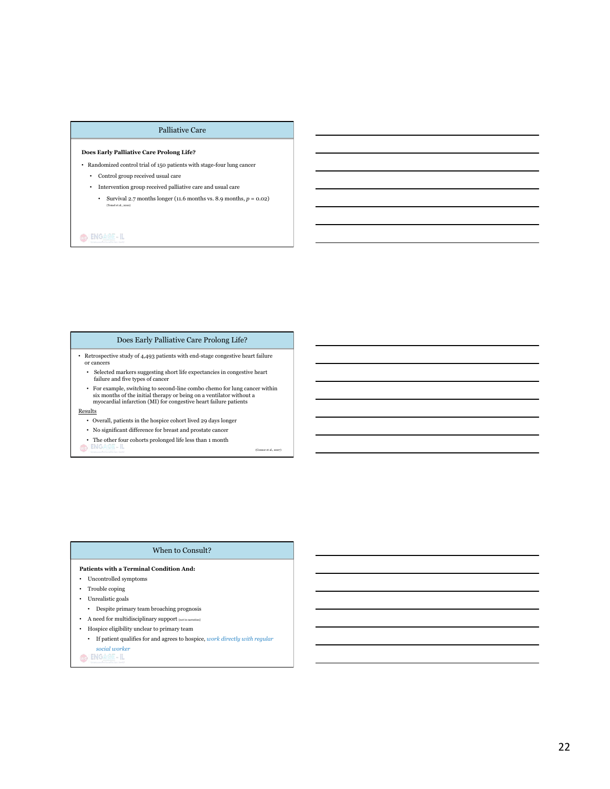#### Palliative Care

#### **Does Early Palliative Care Prolong Life?**

• Randomized control trial of 150 patients with stage-four lung cancer

- Control group received usual care
- Intervention group received palliative care and usual care
	- Survival 2.7 months longer (11.6 months vs. 8.9 months,  $p = 0.02$ ) (Temel et al., 2010)

O ENGAGE-IL

## Does Early Palliative Care Prolong Life?

• Retrospective study of 4,493 patients with end-stage congestive heart failure or cancers

- Selected markers suggesting short life expectancies in congestive heart failure and five types of cancer
- $\bullet~$  For example, switching to second-line combo chemo for lung cancer within six months of the initial therapy or being on a ventilator without a myocardial infarction (MI) for congestive heart failure patients

#### Results

- Overall, patients in the hospice cohort lived 29 days longer
- No significant difference for breast and prostate cancer
- The other four cohorts prolonged life less than 1 month  $\alpha$  and  $\mathbb{E}[\mathbf{C} \otimes \mathbb{S}^{\perp}]$
- 

(Connor et al., 2007)

#### When to Consult?

#### **Patients with a Terminal Condition And:**

- Uncontrolled symptoms
- Trouble coping
- Unrealistic goals
	- Despite primary team broaching prognosis
- A need for multidisciplinary support [not in narration]
- Hospice eligibility unclear to primary team
	- If patient qualifies for and agrees to hospice, *work directly with regular*
- *social worker*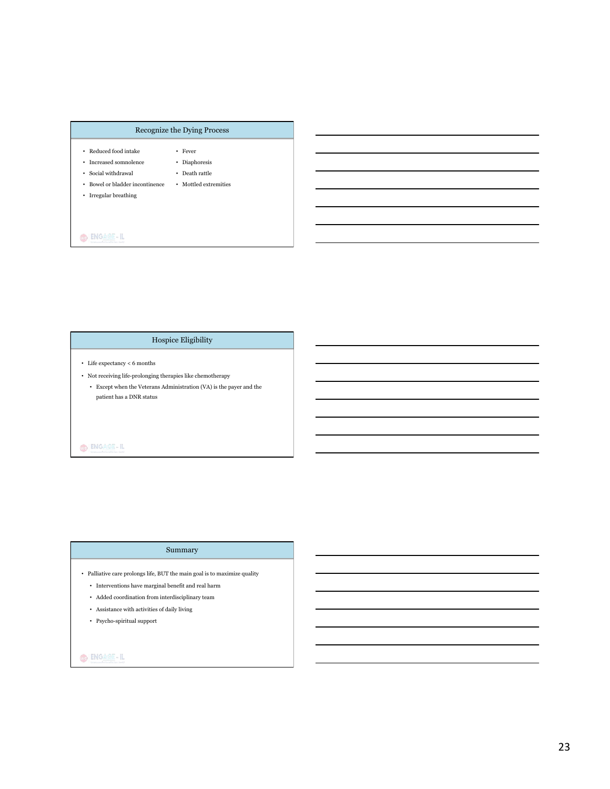## Recognize the Dying Process

• Fever

• Death rattle

- Reduced food intake
- Increased somnolence • Diaphoresis
- Social withdrawal
- Bowel or bladder incontinence • Mottled extremities
- Irregular breathing

# O ENGAGE-IL

# Hospice Eligibility

- Life expectancy < 6 months
- Not receiving life-prolonging therapies like chemotherapy
	- Except when the Veterans Administration (VA) is the payer and the patient has a DNR status

# $\bigcirc$   $\bigg|$  engage-il

## Summary

- Palliative care prolongs life, BUT the main goal is to maximize quality
	- $\bullet~$  Interventions have marginal benefit and real harm
	- Added coordination from interdisciplinary team
	- Assistance with activities of daily living
	- Psycho-spiritual support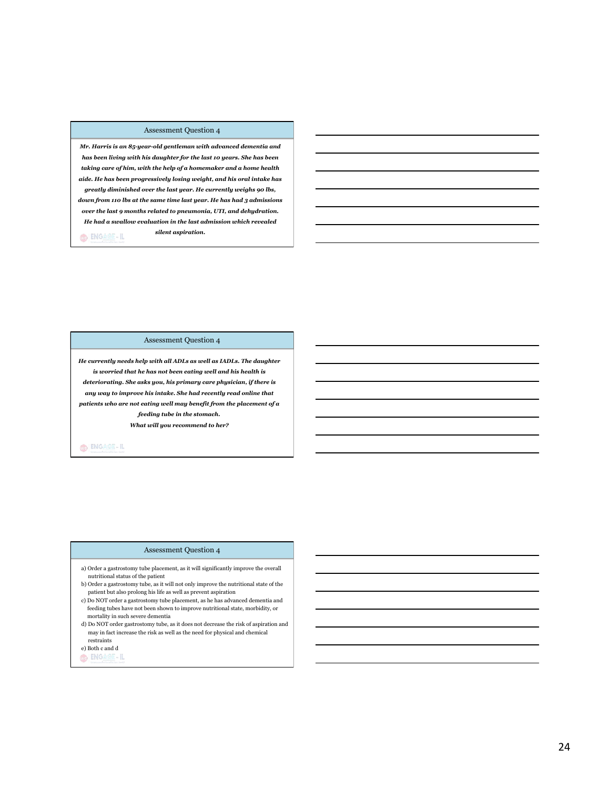#### Assessment Question 4

*Mr. Harris is an 85-year-old gentleman with advanced dementia and has been living with his daughter for the last 10 years. She has been taking care of him, with the help of a homemaker and a home health aide. He has been progressively losing weight, and his oral intake has greatly diminished over the last year. He currently weighs 90 lbs, down from 110 lbs at the same time last year. He has had 3 admissions over the last 9 months related to pneumonia, UTI, and dehydration. He had a swallow evaluation in the last admission which revealed silent aspiration.*  O ENGAGE-IL

Assessment Question 4

*He currently needs help with all ADLs as well as IADLs. The daughter is worried that he has not been eating well and his health is deteriorating. She asks you, his primary care physician, if there is any way to improve his intake. She had recently read online that patients who are not eating well may benefit from the placement of a feeding tube in the stomach. What will you recommend to her?* 

O ENGAGE-IL

#### Assessment Question 4

- a) Order a gastrostomy tube placement, as it will significantly improve the overall nutritional status of the patient
- b) Order a gastrostomy tube, as it will not only improve the nutritional state of the patient but also prolong his life as well as prevent aspiration
- c) Do NOT order a gastrostomy tube placement, as he has advanced dementia and feeding tubes have not been shown to improve nutritional state, morbidity, or mortality in such severe dementia
- d) Do NOT order gastrostomy tube, as it does not decrease the risk of aspiration and may in fact increase the risk as well as the need for physical and chemical restraints
- e) Both c and d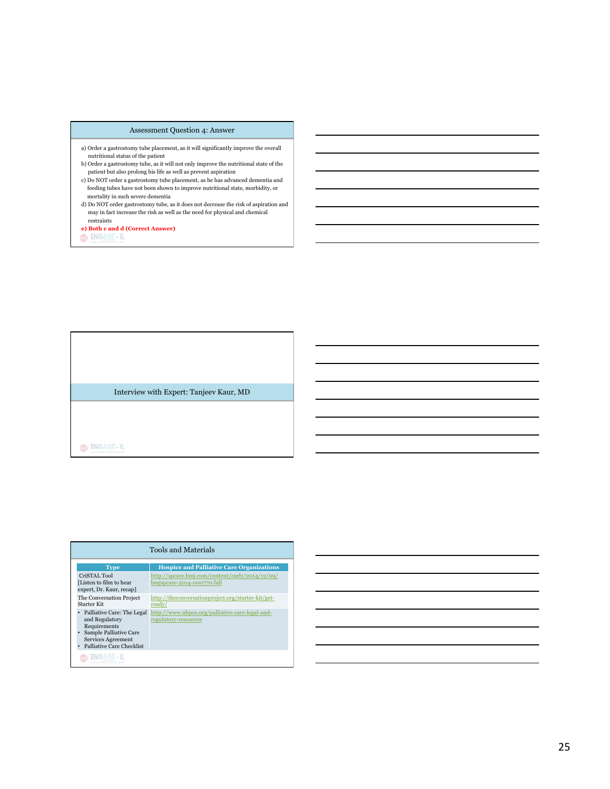#### Assessment Question 4: Answer

- a) Order a gastrostomy tube placement, as it will significantly improve the overall nutritional status of the patient
- b) Order a gastrostomy tube, as it will not only improve the nutritional state of the patient but also prolong his life as well as prevent aspiration
- c) Do NOT order a gastrostomy tube placement, as he has advanced dementia and feeding tubes have not been shown to improve nutritional state, morbidity, or mortality in such severe dementia
- d) Do NOT order gastrostomy tube, as it does not decrease the risk of aspiration and may in fact increase the risk as well as the need for physical and chemical restraints

**e) Both c and d (Correct Answer)** 

Interview with Expert: Tanjeev Kaur, MD

O ENGAGE-IL

# Tools and Materials

 CriSTAL Tool [Listen to film to hear expert, Dr. Kaur, recap] The Conversation Project

http://spcare.bmj.com/content/early/2014/12/09/ bmjspcare-2014-000770.full

http://theconversationproject.org/starter-kit/get-

- and Regulatory
- 

Starter Kit

- 
- Requirements Sample Palliative Care Services Agreement Palliative Care Checklist

OG ENGAGE-IL

**Type Hospice and Palliative Care Organizations** 

ready/

• Palliative Care: The Legal http://www.nhpco.org/palliative-care-legal-andregulatory-resources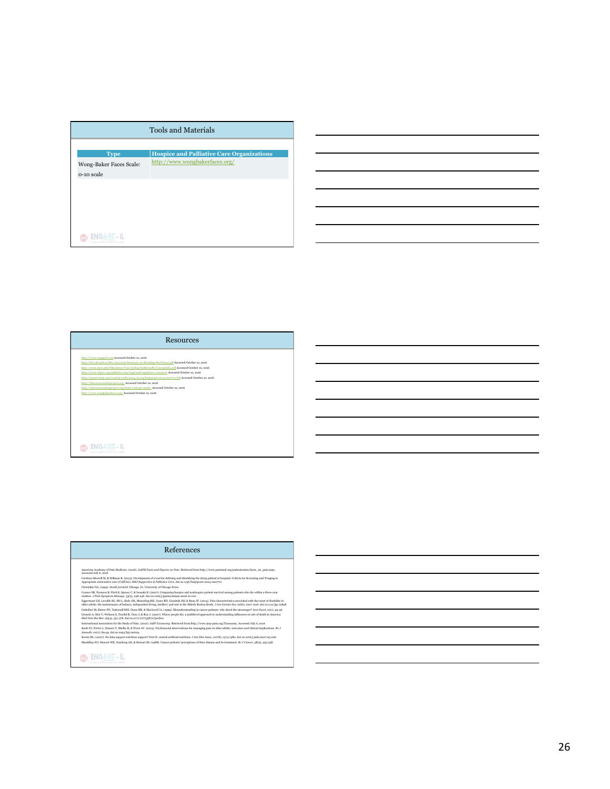| <b>Tools and Materials</b>            |                                                  |  |
|---------------------------------------|--------------------------------------------------|--|
| <b>Type</b>                           | <b>Hospice and Palliative Care Organizations</b> |  |
| Wong-Baker Faces Scale:<br>o-10 scale | http://www.wongbakerfaces.org/                   |  |
|                                       |                                                  |  |
|                                       |                                                  |  |
|                                       |                                                  |  |
|                                       |                                                  |  |

# http://www.engageil.com Accessed October 10, 2016 http://hiv.ubccpd.ca/files/2012/09/Summary-on-Breaking-Bad-News.pdf Accessed October 10, 2016 http://www.mcw.edu/FileLibrary/User/jrehm/fastfactpdfs/Concept084.pdf Accessed October 10, 2016 http://www.nhpco.org/palliative-care-legal-and-regulatory-resources Accessed October 10, 2016 http://spcare.bmj.com/content/early/2014/12/09/bmjspcare-2014-000770.full Accessed October 10, 2016 http://theconversationproject.org/ Accessed October 10, 2016 http://theconversationproject.org/starter-kit/get-ready/ Accessed October 10, 2016 http://www.wongbakerfaces.org/ Accessed October 10, 2016 Resources

#### References

American Aeademy of Pain Medicine. (2006). AAPR Forts and Figures on Phin. Retriveed from http://www.pinimed.org/kpierateorter/liets\_on\_pain.aspx.<br>Accessed Joy 6, 2018<br>Accessed Maps and Security and The Consequence of a to